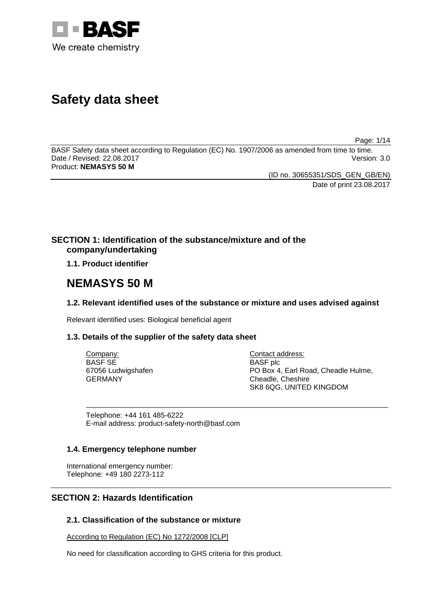

# **Safety data sheet**

Page: 1/14

BASF Safety data sheet according to Regulation (EC) No. 1907/2006 as amended from time to time. Date / Revised: 22.08.2017 Version: 3.0 Product: **NEMASYS 50 M** 

> (ID no. 30655351/SDS\_GEN\_GB/EN) Date of print 23.08.2017

# **SECTION 1: Identification of the substance/mixture and of the company/undertaking**

**1.1. Product identifier**

# **NEMASYS 50 M**

# **1.2. Relevant identified uses of the substance or mixture and uses advised against**

\_\_\_\_\_\_\_\_\_\_\_\_\_\_\_\_\_\_\_\_\_\_\_\_\_\_\_\_\_\_\_\_\_\_\_\_\_\_\_\_\_\_\_\_\_\_\_\_\_\_\_\_\_\_\_\_\_\_\_\_\_\_\_\_\_\_\_\_\_\_\_\_\_\_\_

Relevant identified uses: Biological beneficial agent

# **1.3. Details of the supplier of the safety data sheet**

Company: BASF SE 67056 Ludwigshafen GERMANY

Contact address: BASF plc PO Box 4, Earl Road, Cheadle Hulme, Cheadle, Cheshire SK8 6QG, UNITED KINGDOM

Telephone: +44 161 485-6222 E-mail address: product-safety-north@basf.com

# **1.4. Emergency telephone number**

International emergency number: Telephone: +49 180 2273-112

# **SECTION 2: Hazards Identification**

# **2.1. Classification of the substance or mixture**

According to Regulation (EC) No 1272/2008 [CLP]

No need for classification according to GHS criteria for this product.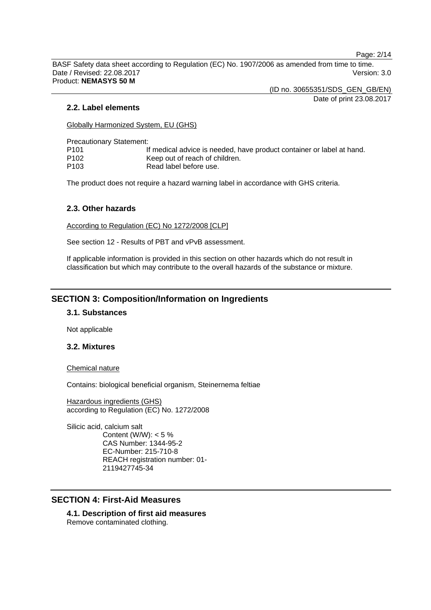Page: 2/14

BASF Safety data sheet according to Regulation (EC) No. 1907/2006 as amended from time to time. Date / Revised: 22.08.2017 Version: 3.0 Product: **NEMASYS 50 M** 

(ID no. 30655351/SDS\_GEN\_GB/EN)

Date of print 23.08.2017

#### **2.2. Label elements**

Globally Harmonized System, EU (GHS)

Precautionary Statement:

| P101 | If medical advice is needed, have product container or label at hand. |
|------|-----------------------------------------------------------------------|
| P102 | Keep out of reach of children.                                        |
| P103 | Read label before use.                                                |

The product does not require a hazard warning label in accordance with GHS criteria.

#### **2.3. Other hazards**

According to Regulation (EC) No 1272/2008 [CLP]

See section 12 - Results of PBT and vPvB assessment.

If applicable information is provided in this section on other hazards which do not result in classification but which may contribute to the overall hazards of the substance or mixture.

# **SECTION 3: Composition/Information on Ingredients**

#### **3.1. Substances**

Not applicable

#### **3.2. Mixtures**

Chemical nature

Contains: biological beneficial organism, Steinernema feltiae

Hazardous ingredients (GHS) according to Regulation (EC) No. 1272/2008

Silicic acid, calcium salt Content (W/W):  $< 5 \%$ CAS Number: 1344-95-2 EC-Number: 215-710-8 REACH registration number: 01- 2119427745-34

# **SECTION 4: First-Aid Measures**

**4.1. Description of first aid measures**  Remove contaminated clothing.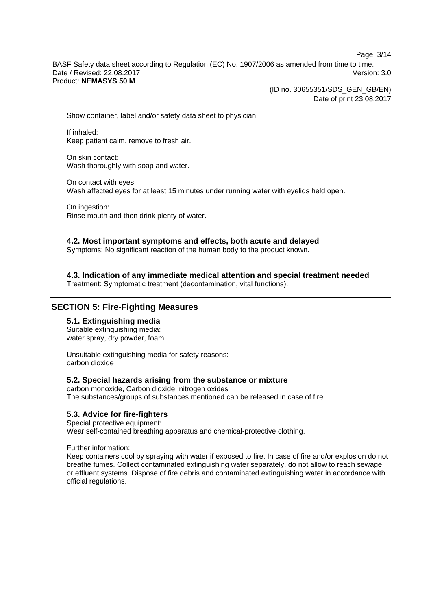Page: 3/14

BASF Safety data sheet according to Regulation (EC) No. 1907/2006 as amended from time to time. Date / Revised: 22.08.2017 Version: 3.0 Product: **NEMASYS 50 M** 

(ID no. 30655351/SDS\_GEN\_GB/EN)

Date of print 23.08.2017

Show container, label and/or safety data sheet to physician.

If inhaled: Keep patient calm, remove to fresh air.

On skin contact: Wash thoroughly with soap and water.

On contact with eyes: Wash affected eyes for at least 15 minutes under running water with eyelids held open.

On ingestion: Rinse mouth and then drink plenty of water.

#### **4.2. Most important symptoms and effects, both acute and delayed**

Symptoms: No significant reaction of the human body to the product known.

**4.3. Indication of any immediate medical attention and special treatment needed** 

Treatment: Symptomatic treatment (decontamination, vital functions).

# **SECTION 5: Fire-Fighting Measures**

# **5.1. Extinguishing media**

Suitable extinguishing media: water spray, dry powder, foam

Unsuitable extinguishing media for safety reasons: carbon dioxide

#### **5.2. Special hazards arising from the substance or mixture**

carbon monoxide, Carbon dioxide, nitrogen oxides The substances/groups of substances mentioned can be released in case of fire.

#### **5.3. Advice for fire-fighters**

Special protective equipment: Wear self-contained breathing apparatus and chemical-protective clothing.

Further information:

Keep containers cool by spraying with water if exposed to fire. In case of fire and/or explosion do not breathe fumes. Collect contaminated extinguishing water separately, do not allow to reach sewage or effluent systems. Dispose of fire debris and contaminated extinguishing water in accordance with official regulations.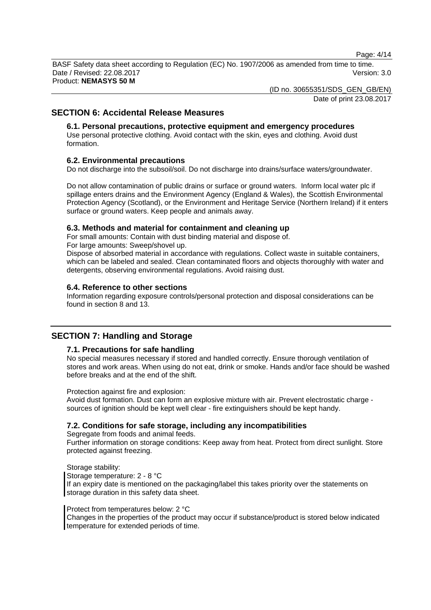Page: 4/14

BASF Safety data sheet according to Regulation (EC) No. 1907/2006 as amended from time to time. Date / Revised: 22.08.2017 Version: 3.0 Product: **NEMASYS 50 M** 

(ID no. 30655351/SDS\_GEN\_GB/EN)

Date of print 23.08.2017

# **SECTION 6: Accidental Release Measures**

# **6.1. Personal precautions, protective equipment and emergency procedures**

Use personal protective clothing. Avoid contact with the skin, eyes and clothing. Avoid dust formation.

# **6.2. Environmental precautions**

Do not discharge into the subsoil/soil. Do not discharge into drains/surface waters/groundwater.

Do not allow contamination of public drains or surface or ground waters. Inform local water plc if spillage enters drains and the Environment Agency (England & Wales), the Scottish Environmental Protection Agency (Scotland), or the Environment and Heritage Service (Northern Ireland) if it enters surface or ground waters. Keep people and animals away.

# **6.3. Methods and material for containment and cleaning up**

For small amounts: Contain with dust binding material and dispose of.

For large amounts: Sweep/shovel up.

Dispose of absorbed material in accordance with regulations. Collect waste in suitable containers, which can be labeled and sealed. Clean contaminated floors and objects thoroughly with water and detergents, observing environmental regulations. Avoid raising dust.

# **6.4. Reference to other sections**

Information regarding exposure controls/personal protection and disposal considerations can be found in section 8 and 13.

# **SECTION 7: Handling and Storage**

# **7.1. Precautions for safe handling**

No special measures necessary if stored and handled correctly. Ensure thorough ventilation of stores and work areas. When using do not eat, drink or smoke. Hands and/or face should be washed before breaks and at the end of the shift.

Protection against fire and explosion:

Avoid dust formation. Dust can form an explosive mixture with air. Prevent electrostatic charge sources of ignition should be kept well clear - fire extinguishers should be kept handy.

# **7.2. Conditions for safe storage, including any incompatibilities**

Segregate from foods and animal feeds.

Further information on storage conditions: Keep away from heat. Protect from direct sunlight. Store protected against freezing.

Storage stability: Storage temperature: 2 - 8 °C If an expiry date is mentioned on the packaging/label this takes priority over the statements on storage duration in this safety data sheet.

#### Protect from temperatures below: 2 °C

Changes in the properties of the product may occur if substance/product is stored below indicated temperature for extended periods of time.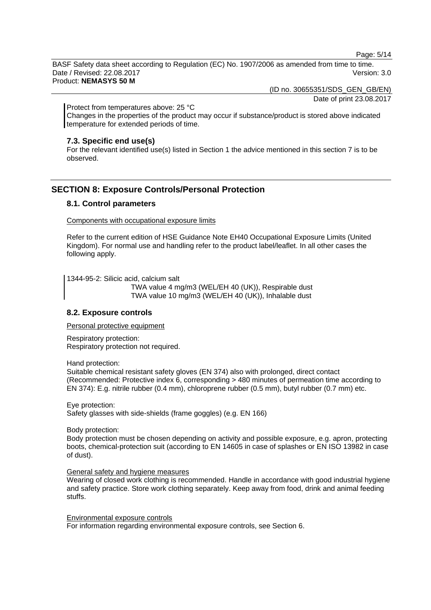Page: 5/14

BASF Safety data sheet according to Regulation (EC) No. 1907/2006 as amended from time to time. Date / Revised: 22.08.2017 Version: 3.0 Product: **NEMASYS 50 M** 

(ID no. 30655351/SDS\_GEN\_GB/EN)

Date of print 23.08.2017

Protect from temperatures above: 25 °C

Changes in the properties of the product may occur if substance/product is stored above indicated temperature for extended periods of time.

#### **7.3. Specific end use(s)**

For the relevant identified use(s) listed in Section 1 the advice mentioned in this section 7 is to be observed.

# **SECTION 8: Exposure Controls/Personal Protection**

# **8.1. Control parameters**

Components with occupational exposure limits

Refer to the current edition of HSE Guidance Note EH40 Occupational Exposure Limits (United Kingdom). For normal use and handling refer to the product label/leaflet. In all other cases the following apply.

1344-95-2: Silicic acid, calcium salt

 TWA value 4 mg/m3 (WEL/EH 40 (UK)), Respirable dust TWA value 10 mg/m3 (WEL/EH 40 (UK)), Inhalable dust

# **8.2. Exposure controls**

Personal protective equipment

Respiratory protection: Respiratory protection not required.

Hand protection:

Suitable chemical resistant safety gloves (EN 374) also with prolonged, direct contact (Recommended: Protective index 6, corresponding > 480 minutes of permeation time according to EN 374): E.g. nitrile rubber (0.4 mm), chloroprene rubber (0.5 mm), butyl rubber (0.7 mm) etc.

Eye protection:

Safety glasses with side-shields (frame goggles) (e.g. EN 166)

Body protection:

Body protection must be chosen depending on activity and possible exposure, e.g. apron, protecting boots, chemical-protection suit (according to EN 14605 in case of splashes or EN ISO 13982 in case of dust).

#### General safety and hygiene measures

Wearing of closed work clothing is recommended. Handle in accordance with good industrial hygiene and safety practice. Store work clothing separately. Keep away from food, drink and animal feeding stuffs.

Environmental exposure controls For information regarding environmental exposure controls, see Section 6.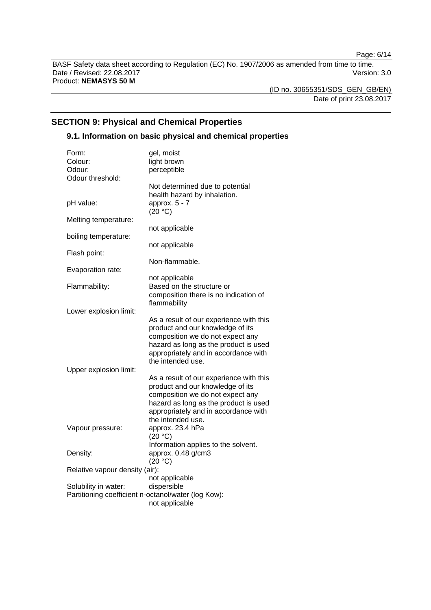Page: 6/14

BASF Safety data sheet according to Regulation (EC) No. 1907/2006 as amended from time to time. Date / Revised: 22.08.2017 Version: 3.0 Product: **NEMASYS 50 M** 

(ID no. 30655351/SDS\_GEN\_GB/EN) Date of print 23.08.2017

# **SECTION 9: Physical and Chemical Properties**

# **9.1. Information on basic physical and chemical properties**

| Form:                                               | gel, moist                                                                                                                                                                                                            |
|-----------------------------------------------------|-----------------------------------------------------------------------------------------------------------------------------------------------------------------------------------------------------------------------|
| Colour:                                             | light brown                                                                                                                                                                                                           |
| Odour:                                              | perceptible                                                                                                                                                                                                           |
| Odour threshold:                                    |                                                                                                                                                                                                                       |
|                                                     | Not determined due to potential<br>health hazard by inhalation.<br>approx. 5 - 7                                                                                                                                      |
| pH value:                                           | (20 °C)                                                                                                                                                                                                               |
| Melting temperature:                                | not applicable                                                                                                                                                                                                        |
| boiling temperature:                                |                                                                                                                                                                                                                       |
| Flash point:                                        | not applicable                                                                                                                                                                                                        |
| Evaporation rate:                                   | Non-flammable.                                                                                                                                                                                                        |
|                                                     | not applicable                                                                                                                                                                                                        |
| Flammability:                                       | Based on the structure or<br>composition there is no indication of                                                                                                                                                    |
| Lower explosion limit:                              | flammability                                                                                                                                                                                                          |
| Upper explosion limit:                              | As a result of our experience with this<br>product and our knowledge of its<br>composition we do not expect any<br>hazard as long as the product is used<br>appropriately and in accordance with<br>the intended use. |
|                                                     | As a result of our experience with this<br>product and our knowledge of its<br>composition we do not expect any<br>hazard as long as the product is used<br>appropriately and in accordance with<br>the intended use. |
| Vapour pressure:                                    | approx. 23.4 hPa<br>(20 °C)                                                                                                                                                                                           |
| Density:                                            | Information applies to the solvent.<br>approx. 0.48 g/cm3<br>(20 °C)                                                                                                                                                  |
| Relative vapour density (air):                      |                                                                                                                                                                                                                       |
|                                                     | not applicable                                                                                                                                                                                                        |
| Solubility in water:                                | dispersible                                                                                                                                                                                                           |
| Partitioning coefficient n-octanol/water (log Kow): |                                                                                                                                                                                                                       |
|                                                     | not applicable                                                                                                                                                                                                        |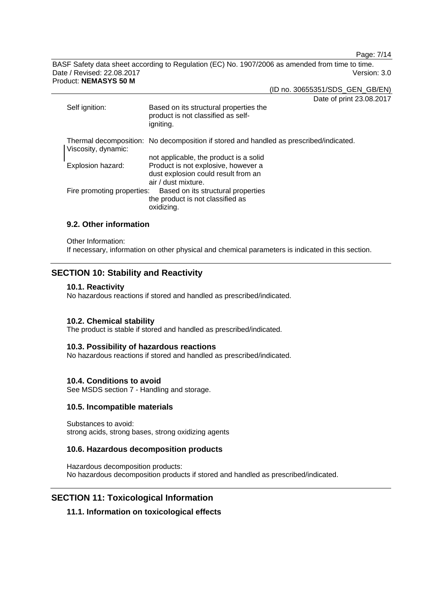Page: 7/14

BASF Safety data sheet according to Regulation (EC) No. 1907/2006 as amended from time to time. Date / Revised: 22.08.2017 Version: 3.0 Product: **NEMASYS 50 M** 

(ID no. 30655351/SDS\_GEN\_GB/EN)

Date of print 23.08.2017

| Self ignition:             | Daiu VI PHIN 20.0<br>Based on its structural properties the<br>product is not classified as self-<br>igniting.                              |
|----------------------------|---------------------------------------------------------------------------------------------------------------------------------------------|
| Viscosity, dynamic:        | Thermal decomposition: No decomposition if stored and handled as prescribed/indicated.                                                      |
| Explosion hazard:          | not applicable, the product is a solid<br>Product is not explosive, however a<br>dust explosion could result from an<br>air / dust mixture. |
| Fire promoting properties: | Based on its structural properties<br>the product is not classified as<br>oxidizing.                                                        |

# **9.2. Other information**

Other Information:

If necessary, information on other physical and chemical parameters is indicated in this section.

# **SECTION 10: Stability and Reactivity**

#### **10.1. Reactivity**

No hazardous reactions if stored and handled as prescribed/indicated.

#### **10.2. Chemical stability**

The product is stable if stored and handled as prescribed/indicated.

#### **10.3. Possibility of hazardous reactions**

No hazardous reactions if stored and handled as prescribed/indicated.

#### **10.4. Conditions to avoid**

See MSDS section 7 - Handling and storage.

#### **10.5. Incompatible materials**

Substances to avoid: strong acids, strong bases, strong oxidizing agents

#### **10.6. Hazardous decomposition products**

Hazardous decomposition products: No hazardous decomposition products if stored and handled as prescribed/indicated.

# **SECTION 11: Toxicological Information**

# **11.1. Information on toxicological effects**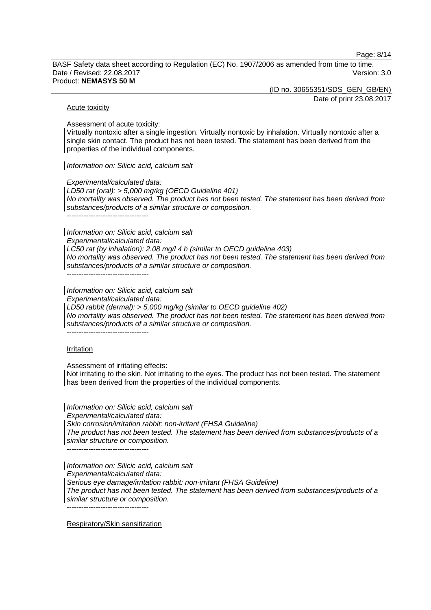Page: 8/14

BASF Safety data sheet according to Regulation (EC) No. 1907/2006 as amended from time to time. Date / Revised: 22.08.2017 Version: 3.0 Product: **NEMASYS 50 M** 

(ID no. 30655351/SDS\_GEN\_GB/EN)

Date of print 23.08.2017

#### Acute toxicity

Assessment of acute toxicity:

Virtually nontoxic after a single ingestion. Virtually nontoxic by inhalation. Virtually nontoxic after a single skin contact. The product has not been tested. The statement has been derived from the properties of the individual components.

*Information on: Silicic acid, calcium salt*

*Experimental/calculated data:* 

*LD50 rat (oral): > 5,000 mg/kg (OECD Guideline 401) No mortality was observed. The product has not been tested. The statement has been derived from substances/products of a similar structure or composition.* 

----------------------------------

*Information on: Silicic acid, calcium salt* 

*Experimental/calculated data:* 

*LC50 rat (by inhalation): 2.08 mg/l 4 h (similar to OECD guideline 403) No mortality was observed. The product has not been tested. The statement has been derived from substances/products of a similar structure or composition.* 

 $-$ 

*Information on: Silicic acid, calcium salt* 

*Experimental/calculated data:* 

*LD50 rabbit (dermal): > 5,000 mg/kg (similar to OECD guideline 402)* 

*No mortality was observed. The product has not been tested. The statement has been derived from substances/products of a similar structure or composition.* 

----------------------------------

#### Irritation

Assessment of irritating effects:

Not irritating to the skin. Not irritating to the eyes. The product has not been tested. The statement has been derived from the properties of the individual components.

*Information on: Silicic acid, calcium salt Experimental/calculated data: Skin corrosion/irritation rabbit: non-irritant (FHSA Guideline) The product has not been tested. The statement has been derived from substances/products of a similar structure or composition.*   $-$ 

*Information on: Silicic acid, calcium salt Experimental/calculated data: Serious eye damage/irritation rabbit: non-irritant (FHSA Guideline) The product has not been tested. The statement has been derived from substances/products of a similar structure or composition.*  ----------------------------------

Respiratory/Skin sensitization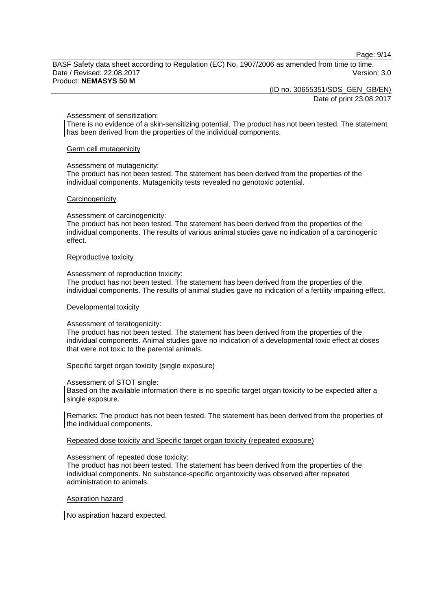Page: 9/14

BASF Safety data sheet according to Regulation (EC) No. 1907/2006 as amended from time to time. Date / Revised: 22.08.2017 Version: 3.0 Product: **NEMASYS 50 M** 

(ID no. 30655351/SDS\_GEN\_GB/EN)

Date of print 23.08.2017

#### Assessment of sensitization:

There is no evidence of a skin-sensitizing potential. The product has not been tested. The statement has been derived from the properties of the individual components.

#### Germ cell mutagenicity

#### Assessment of mutagenicity:

The product has not been tested. The statement has been derived from the properties of the individual components. Mutagenicity tests revealed no genotoxic potential.

#### **Carcinogenicity**

#### Assessment of carcinogenicity:

The product has not been tested. The statement has been derived from the properties of the individual components. The results of various animal studies gave no indication of a carcinogenic effect.

#### Reproductive toxicity

#### Assessment of reproduction toxicity:

The product has not been tested. The statement has been derived from the properties of the individual components. The results of animal studies gave no indication of a fertility impairing effect.

#### Developmental toxicity

#### Assessment of teratogenicity:

The product has not been tested. The statement has been derived from the properties of the individual components. Animal studies gave no indication of a developmental toxic effect at doses that were not toxic to the parental animals.

#### Specific target organ toxicity (single exposure)

#### Assessment of STOT single:

Based on the available information there is no specific target organ toxicity to be expected after a single exposure.

Remarks: The product has not been tested. The statement has been derived from the properties of the individual components.

#### Repeated dose toxicity and Specific target organ toxicity (repeated exposure)

#### Assessment of repeated dose toxicity:

The product has not been tested. The statement has been derived from the properties of the individual components. No substance-specific organtoxicity was observed after repeated administration to animals.

#### Aspiration hazard

No aspiration hazard expected.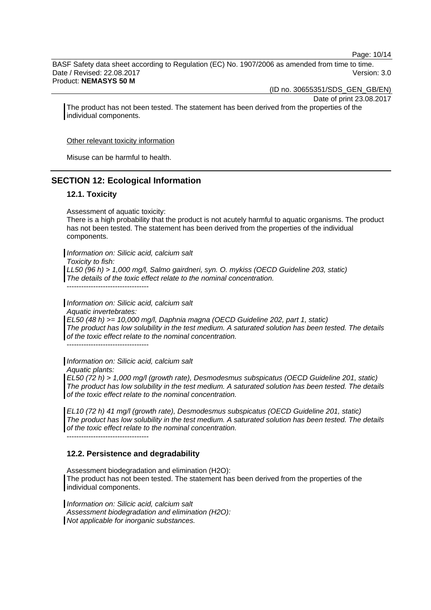Page: 10/14

BASF Safety data sheet according to Regulation (EC) No. 1907/2006 as amended from time to time. Date / Revised: 22.08.2017 Version: 3.0 Product: **NEMASYS 50 M** 

(ID no. 30655351/SDS\_GEN\_GB/EN)

Date of print 23.08.2017

The product has not been tested. The statement has been derived from the properties of the individual components.

Other relevant toxicity information

Misuse can be harmful to health.

# **SECTION 12: Ecological Information**

# **12.1. Toxicity**

Assessment of aquatic toxicity:

There is a high probability that the product is not acutely harmful to aquatic organisms. The product has not been tested. The statement has been derived from the properties of the individual components.

*Information on: Silicic acid, calcium salt* 

*Toxicity to fish:* 

*LL50 (96 h) > 1,000 mg/l, Salmo gairdneri, syn. O. mykiss (OECD Guideline 203, static) The details of the toxic effect relate to the nominal concentration.* 

----------------------------------

*Information on: Silicic acid, calcium salt Aquatic invertebrates: EL50 (48 h) >= 10,000 mg/l, Daphnia magna (OECD Guideline 202, part 1, static) The product has low solubility in the test medium. A saturated solution has been tested. The details of the toxic effect relate to the nominal concentration.* 

----------------------------------

*Information on: Silicic acid, calcium salt Aquatic plants:* 

*EL50 (72 h) > 1,000 mg/l (growth rate), Desmodesmus subspicatus (OECD Guideline 201, static) The product has low solubility in the test medium. A saturated solution has been tested. The details of the toxic effect relate to the nominal concentration.* 

*EL10 (72 h) 41 mg/l (growth rate), Desmodesmus subspicatus (OECD Guideline 201, static) The product has low solubility in the test medium. A saturated solution has been tested. The details of the toxic effect relate to the nominal concentration.*  ----------------------------------

#### **12.2. Persistence and degradability**

Assessment biodegradation and elimination (H2O): The product has not been tested. The statement has been derived from the properties of the individual components.

*Information on: Silicic acid, calcium salt Assessment biodegradation and elimination (H2O): Not applicable for inorganic substances.*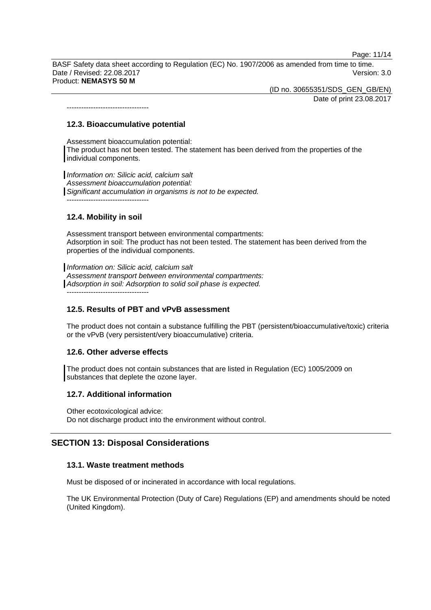Page: 11/14

BASF Safety data sheet according to Regulation (EC) No. 1907/2006 as amended from time to time. Date / Revised: 22.08.2017 Version: 3.0 Product: **NEMASYS 50 M** 

> (ID no. 30655351/SDS\_GEN\_GB/EN) Date of print 23.08.2017

**12.3. Bioaccumulative potential** 

----------------------------------

Assessment bioaccumulation potential: The product has not been tested. The statement has been derived from the properties of the individual components.

*Information on: Silicic acid, calcium salt Assessment bioaccumulation potential: Significant accumulation in organisms is not to be expected.*  ----------------------------------

# **12.4. Mobility in soil**

Assessment transport between environmental compartments: Adsorption in soil: The product has not been tested. The statement has been derived from the properties of the individual components.

*Information on: Silicic acid, calcium salt Assessment transport between environmental compartments: Adsorption in soil: Adsorption to solid soil phase is expected.* ----------------------------------

# **12.5. Results of PBT and vPvB assessment**

The product does not contain a substance fulfilling the PBT (persistent/bioaccumulative/toxic) criteria or the vPvB (very persistent/very bioaccumulative) criteria.

# **12.6. Other adverse effects**

The product does not contain substances that are listed in Regulation (EC) 1005/2009 on substances that deplete the ozone layer.

# **12.7. Additional information**

Other ecotoxicological advice: Do not discharge product into the environment without control.

# **SECTION 13: Disposal Considerations**

# **13.1. Waste treatment methods**

Must be disposed of or incinerated in accordance with local regulations.

The UK Environmental Protection (Duty of Care) Regulations (EP) and amendments should be noted (United Kingdom).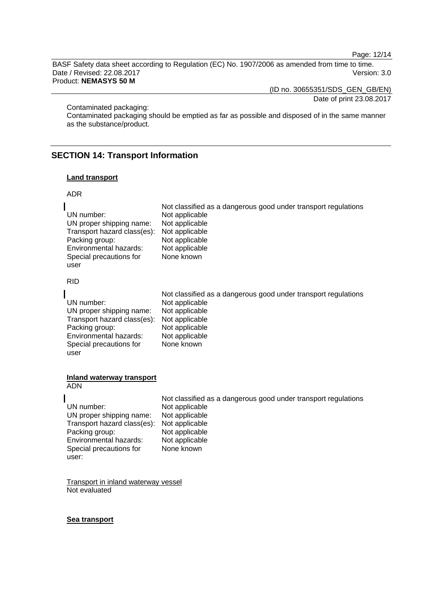Page: 12/14

BASF Safety data sheet according to Regulation (EC) No. 1907/2006 as amended from time to time. Date / Revised: 22.08.2017 Version: 3.0 Product: **NEMASYS 50 M** 

(ID no. 30655351/SDS\_GEN\_GB/EN)

Date of print 23.08.2017

Contaminated packaging:

Contaminated packaging should be emptied as far as possible and disposed of in the same manner as the substance/product.

# **SECTION 14: Transport Information**

#### **Land transport**

#### ADR

|                                            | Not classified as a dangerous good under transport regulations |
|--------------------------------------------|----------------------------------------------------------------|
| UN number:                                 | Not applicable                                                 |
| UN proper shipping name:                   | Not applicable                                                 |
| Transport hazard class(es): Not applicable |                                                                |
| Packing group:                             | Not applicable                                                 |
| Environmental hazards:                     | Not applicable                                                 |
| Special precautions for                    | None known                                                     |
| user                                       |                                                                |

RID

|                                            | Not classified as a dangerous good under transport regulations |
|--------------------------------------------|----------------------------------------------------------------|
| UN number:                                 | Not applicable                                                 |
| UN proper shipping name:                   | Not applicable                                                 |
| Transport hazard class(es): Not applicable |                                                                |
| Packing group:                             | Not applicable                                                 |
| Environmental hazards:                     | Not applicable                                                 |
| Special precautions for                    | None known                                                     |
| user                                       |                                                                |

#### **Inland waterway transport**  ADN

user:

 Not classified as a dangerous good under transport regulations UN number: Not applicable<br>UN proper shipping name: Not applicable UN proper shipping name: Not applicable<br>Transport hazard class(es): Not applicable Transport hazard class(es): Not applicable<br>Packing group: Not applicable Packing group: Not applicable<br>
Environmental hazards: Not applicable Environmental hazards: Special precautions for None known

Transport in inland waterway vessel Not evaluated

#### **Sea transport**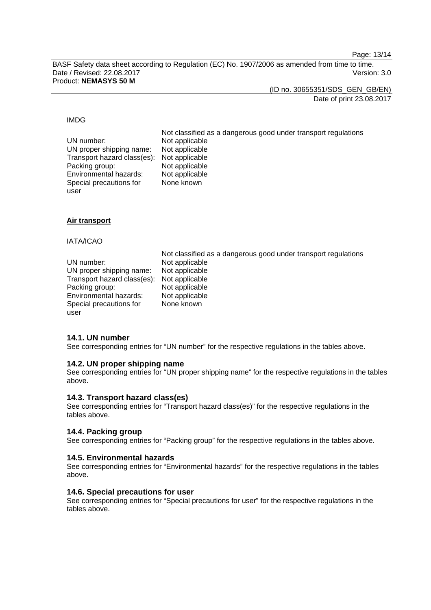Page: 13/14

BASF Safety data sheet according to Regulation (EC) No. 1907/2006 as amended from time to time. Date / Revised: 22.08.2017 Version: 3.0 Product: **NEMASYS 50 M** 

(ID no. 30655351/SDS\_GEN\_GB/EN)

Date of print 23.08.2017

#### IMDG

| UN number:                                 | Not classified as a dangerous good under transport regulations<br>Not applicable |
|--------------------------------------------|----------------------------------------------------------------------------------|
| UN proper shipping name:                   | Not applicable                                                                   |
| Transport hazard class(es): Not applicable |                                                                                  |
| Packing group:                             | Not applicable                                                                   |
| Environmental hazards:                     | Not applicable                                                                   |
| Special precautions for                    | None known                                                                       |
| user                                       |                                                                                  |

#### **Air transport**

#### IATA/ICAO

user

|                                            | Not classified as a dangerous good under transport regulations |
|--------------------------------------------|----------------------------------------------------------------|
| UN number:                                 | Not applicable                                                 |
| UN proper shipping name:                   | Not applicable                                                 |
| Transport hazard class(es): Not applicable |                                                                |
| Packing group:                             | Not applicable                                                 |
| Environmental hazards:                     | Not applicable                                                 |
| Special precautions for                    | None known                                                     |

#### **14.1. UN number**

See corresponding entries for "UN number" for the respective regulations in the tables above.

#### **14.2. UN proper shipping name**

See corresponding entries for "UN proper shipping name" for the respective regulations in the tables above.

#### **14.3. Transport hazard class(es)**

See corresponding entries for "Transport hazard class(es)" for the respective regulations in the tables above.

#### **14.4. Packing group**

See corresponding entries for "Packing group" for the respective regulations in the tables above.

#### **14.5. Environmental hazards**

See corresponding entries for "Environmental hazards" for the respective regulations in the tables above.

#### **14.6. Special precautions for user**

See corresponding entries for "Special precautions for user" for the respective regulations in the tables above.